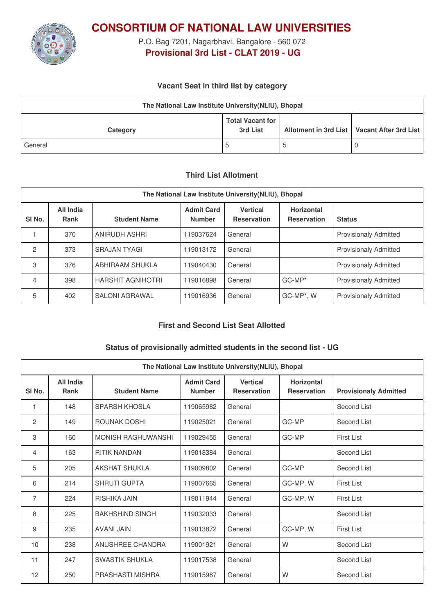

**CONSORTIUM OF NATIONAL LAW UNIVERSITIES**

P.O. Bag 7201, Nagarbhavi, Bangalore - 560 072 **Provisional 3rd List - CLAT 2019 - UG**

## **Vacant Seat in third list by category**

| The National Law Institute University (NLIU), Bhopal |                                     |  |                                               |  |  |
|------------------------------------------------------|-------------------------------------|--|-----------------------------------------------|--|--|
| Category                                             | <b>Total Vacant for</b><br>3rd List |  | Allotment in 3rd List   Vacant After 3rd List |  |  |
| General                                              | ა                                   |  | U                                             |  |  |

### **Third List Allotment**

| The National Law Institute University (NLIU), Bhopal |                                 |                          |                                    |                                       |                                         |                              |  |
|------------------------------------------------------|---------------------------------|--------------------------|------------------------------------|---------------------------------------|-----------------------------------------|------------------------------|--|
| SI <sub>No.</sub>                                    | <b>All India</b><br><b>Rank</b> | <b>Student Name</b>      | <b>Admit Card</b><br><b>Number</b> | <b>Vertical</b><br><b>Reservation</b> | <b>Horizontal</b><br><b>Reservation</b> | <b>Status</b>                |  |
|                                                      | 370                             | ANIRUDH ASHRI            | 119037624                          | General                               |                                         | <b>Provisionaly Admitted</b> |  |
| $\overline{2}$                                       | 373                             | <b>SRAJAN TYAGI</b>      | 119013172                          | General                               |                                         | <b>Provisionaly Admitted</b> |  |
| 3                                                    | 376                             | ABHIRAAM SHUKLA          | 119040430                          | General                               |                                         | <b>Provisionaly Admitted</b> |  |
| 4                                                    | 398                             | <b>HARSHIT AGNIHOTRI</b> | 119016898                          | General                               | $GC-MP*$                                | <b>Provisionaly Admitted</b> |  |
| 5                                                    | 402                             | <b>SALONI AGRAWAL</b>    | 119016936                          | General                               | GC-MP*, W                               | <b>Provisionaly Admitted</b> |  |

### **First and Second List Seat Allotted**

### **Status of provisionally admitted students in the second list - UG**

| The National Law Institute University(NLIU), Bhopal |                          |                        |                                    |                                       |                                         |                              |
|-----------------------------------------------------|--------------------------|------------------------|------------------------------------|---------------------------------------|-----------------------------------------|------------------------------|
| SI <sub>No.</sub>                                   | All India<br><b>Rank</b> | <b>Student Name</b>    | <b>Admit Card</b><br><b>Number</b> | <b>Vertical</b><br><b>Reservation</b> | <b>Horizontal</b><br><b>Reservation</b> | <b>Provisionaly Admitted</b> |
| 1                                                   | 148                      | <b>SPARSH KHOSLA</b>   | 119065982                          | General                               |                                         | Second List                  |
| 2                                                   | 149                      | ROUNAK DOSHI           | 119025021                          | General                               | GC-MP                                   | Second List                  |
| 3                                                   | 160                      | MONISH RAGHUWANSHI     | 119029455                          | General                               | GC-MP                                   | <b>First List</b>            |
| 4                                                   | 163                      | <b>RITIK NANDAN</b>    | 119018384                          | General                               |                                         | Second List                  |
| 5                                                   | 205                      | AKSHAT SHUKI A         | 119009802                          | General                               | GC-MP                                   | Second List                  |
| 6                                                   | 214                      | <b>SHRUTI GUPTA</b>    | 119007665                          | General                               | GC-MP, W                                | <b>First List</b>            |
| 7                                                   | 224                      | RISHIKA JAIN           | 119011944                          | General                               | GC-MP, W                                | <b>First List</b>            |
| 8                                                   | 225                      | <b>BAKHSHIND SINGH</b> | 119032033                          | General                               |                                         | Second List                  |
| 9                                                   | 235                      | <b>AVANI JAIN</b>      | 119013872                          | General                               | GC-MP, W                                | <b>First List</b>            |
| 10                                                  | 238                      | ANUSHREE CHANDRA       | 119001921                          | General                               | W                                       | Second List                  |
| 11                                                  | 247                      | <b>SWASTIK SHUKLA</b>  | 119017538                          | General                               |                                         | Second List                  |
| 12                                                  | 250                      | PRASHASTI MISHRA       | 119015987                          | General                               | W                                       | Second List                  |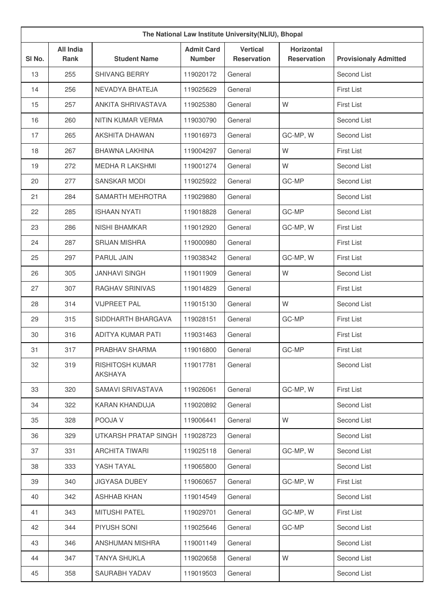| The National Law Institute University(NLIU), Bhopal |                                 |                                          |                                    |                                       |                                         |                              |
|-----------------------------------------------------|---------------------------------|------------------------------------------|------------------------------------|---------------------------------------|-----------------------------------------|------------------------------|
| SI No.                                              | <b>All India</b><br><b>Rank</b> | <b>Student Name</b>                      | <b>Admit Card</b><br><b>Number</b> | <b>Vertical</b><br><b>Reservation</b> | <b>Horizontal</b><br><b>Reservation</b> | <b>Provisionaly Admitted</b> |
| 13                                                  | 255                             | <b>SHIVANG BERRY</b>                     | 119020172                          | General                               |                                         | Second List                  |
| 14                                                  | 256                             | NEVADYA BHATEJA                          | 119025629                          | General                               |                                         | <b>First List</b>            |
| 15                                                  | 257                             | ANKITA SHRIVASTAVA                       | 119025380                          | General                               | W                                       | First List                   |
| 16                                                  | 260                             | NITIN KUMAR VERMA                        | 119030790                          | General                               |                                         | Second List                  |
| 17                                                  | 265                             | <b>AKSHITA DHAWAN</b>                    | 119016973                          | General                               | GC-MP, W                                | Second List                  |
| 18                                                  | 267                             | <b>BHAWNA LAKHINA</b>                    | 119004297                          | General                               | W                                       | <b>First List</b>            |
| 19                                                  | 272                             | MEDHA R LAKSHMI                          | 119001274                          | General                               | W                                       | Second List                  |
| 20                                                  | 277                             | <b>SANSKAR MODI</b>                      | 119025922                          | General                               | GC-MP                                   | Second List                  |
| 21                                                  | 284                             | SAMARTH MEHROTRA                         | 119029880                          | General                               |                                         | Second List                  |
| 22                                                  | 285                             | <b>ISHAAN NYATI</b>                      | 119018828                          | General                               | GC-MP                                   | Second List                  |
| 23                                                  | 286                             | <b>NISHI BHAMKAR</b>                     | 119012920                          | General                               | GC-MP, W                                | <b>First List</b>            |
| 24                                                  | 287                             | <b>SRIJAN MISHRA</b>                     | 119000980                          | General                               |                                         | First List                   |
| 25                                                  | 297                             | PARUL JAIN                               | 119038342                          | General                               | GC-MP, W                                | First List                   |
| 26                                                  | 305                             | <b>JANHAVI SINGH</b>                     | 119011909                          | General                               | W                                       | Second List                  |
| 27                                                  | 307                             | RAGHAV SRINIVAS                          | 119014829                          | General                               |                                         | <b>First List</b>            |
| 28                                                  | 314                             | <b>VIJPREET PAL</b>                      | 119015130                          | General                               | W                                       | Second List                  |
| 29                                                  | 315                             | SIDDHARTH BHARGAVA                       | 119028151                          | General                               | GC-MP                                   | <b>First List</b>            |
| 30                                                  | 316                             | ADITYA KUMAR PATI                        | 119031463                          | General                               |                                         | First List                   |
| 31                                                  | 317                             | PRABHAV SHARMA                           | 119016800                          | General                               | GC-MP                                   | <b>First List</b>            |
| 32                                                  | 319                             | <b>RISHITOSH KUMAR</b><br><b>AKSHAYA</b> | 119017781                          | General                               |                                         | Second List                  |
| 33                                                  | 320                             | SAMAVI SRIVASTAVA                        | 119026061                          | General                               | GC-MP, W                                | <b>First List</b>            |
| 34                                                  | 322                             | <b>KARAN KHANDUJA</b>                    | 119020892                          | General                               |                                         | Second List                  |
| 35                                                  | 328                             | POOJA V                                  | 119006441                          | General                               | W                                       | Second List                  |
| 36                                                  | 329                             | UTKARSH PRATAP SINGH                     | 119028723                          | General                               |                                         | Second List                  |
| 37                                                  | 331                             | <b>ARCHITA TIWARI</b>                    | 119025118                          | General                               | GC-MP, W                                | Second List                  |
| 38                                                  | 333                             | YASH TAYAL                               | 119065800                          | General                               |                                         | Second List                  |
| 39                                                  | 340                             | <b>JIGYASA DUBEY</b>                     | 119060657                          | General                               | GC-MP, W                                | First List                   |
| 40                                                  | 342                             | <b>ASHHAB KHAN</b>                       | 119014549                          | General                               |                                         | Second List                  |
| 41                                                  | 343                             | <b>MITUSHI PATEL</b>                     | 119029701                          | General                               | GC-MP, W                                | First List                   |
| 42                                                  | 344                             | PIYUSH SONI                              | 119025646                          | General                               | GC-MP                                   | Second List                  |
| 43                                                  | 346                             | ANSHUMAN MISHRA                          | 119001149                          | General                               |                                         | Second List                  |
| 44                                                  | 347                             | <b>TANYA SHUKLA</b>                      | 119020658                          | General                               | W                                       | Second List                  |
| 45                                                  | 358                             | SAURABH YADAV                            | 119019503                          | General                               |                                         | Second List                  |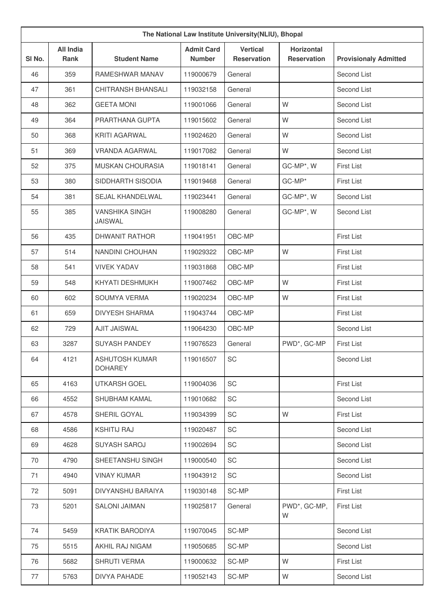| The National Law Institute University(NLIU), Bhopal |                          |                                         |                                    |                                       |                                         |                              |
|-----------------------------------------------------|--------------------------|-----------------------------------------|------------------------------------|---------------------------------------|-----------------------------------------|------------------------------|
| SI No.                                              | <b>All India</b><br>Rank | <b>Student Name</b>                     | <b>Admit Card</b><br><b>Number</b> | <b>Vertical</b><br><b>Reservation</b> | <b>Horizontal</b><br><b>Reservation</b> | <b>Provisionaly Admitted</b> |
| 46                                                  | 359                      | <b>RAMESHWAR MANAV</b>                  | 119000679                          | General                               |                                         | Second List                  |
| 47                                                  | 361                      | <b>CHITRANSH BHANSALI</b>               | 119032158                          | General                               |                                         | Second List                  |
| 48                                                  | 362                      | <b>GEETA MONI</b>                       | 119001066                          | General                               | W                                       | Second List                  |
| 49                                                  | 364                      | PRARTHANA GUPTA                         | 119015602                          | General                               | W                                       | Second List                  |
| 50                                                  | 368                      | <b>KRITI AGARWAL</b>                    | 119024620                          | General                               | W                                       | Second List                  |
| 51                                                  | 369                      | VRANDA AGARWAL                          | 119017082                          | General                               | W                                       | Second List                  |
| 52                                                  | 375                      | MUSKAN CHOURASIA                        | 119018141                          | General                               | GC-MP*, W                               | <b>First List</b>            |
| 53                                                  | 380                      | SIDDHARTH SISODIA                       | 119019468                          | General                               | GC-MP*                                  | <b>First List</b>            |
| 54                                                  | 381                      | SEJAL KHANDELWAL                        | 119023441                          | General                               | GC-MP*, W                               | Second List                  |
| 55                                                  | 385                      | <b>VANSHIKA SINGH</b><br><b>JAISWAL</b> | 119008280                          | General                               | GC-MP*, W                               | Second List                  |
| 56                                                  | 435                      | <b>DHWANIT RATHOR</b>                   | 119041951                          | OBC-MP                                |                                         | <b>First List</b>            |
| 57                                                  | 514                      | <b>NANDINI CHOUHAN</b>                  | 119029322                          | OBC-MP                                | W                                       | <b>First List</b>            |
| 58                                                  | 541                      | <b>VIVEK YADAV</b>                      | 119031868                          | OBC-MP                                |                                         | <b>First List</b>            |
| 59                                                  | 548                      | KHYATI DESHMUKH                         | 119007462                          | OBC-MP                                | W                                       | <b>First List</b>            |
| 60                                                  | 602                      | SOUMYA VERMA                            | 119020234                          | OBC-MP                                | W                                       | <b>First List</b>            |
| 61                                                  | 659                      | <b>DIVYESH SHARMA</b>                   | 119043744                          | OBC-MP                                |                                         | <b>First List</b>            |
| 62                                                  | 729                      | <b>AJIT JAISWAL</b>                     | 119064230                          | OBC-MP                                |                                         | Second List                  |
| 63                                                  | 3287                     | <b>SUYASH PANDEY</b>                    | 119076523                          | General                               | PWD*, GC-MP                             | <b>First List</b>            |
| 64                                                  | 4121                     | <b>ASHUTOSH KUMAR</b><br><b>DOHAREY</b> | 119016507                          | SC                                    |                                         | Second List                  |
| 65                                                  | 4163                     | <b>UTKARSH GOEL</b>                     | 119004036                          | SC                                    |                                         | <b>First List</b>            |
| 66                                                  | 4552                     | SHUBHAM KAMAL                           | 119010682                          | SC                                    |                                         | Second List                  |
| 67                                                  | 4578                     | SHERIL GOYAL                            | 119034399                          | SC                                    | W                                       | <b>First List</b>            |
| 68                                                  | 4586                     | <b>KSHITIJ RAJ</b>                      | 119020487                          | SC                                    |                                         | Second List                  |
| 69                                                  | 4628                     | SUYASH SAROJ                            | 119002694                          | SC                                    |                                         | Second List                  |
| 70                                                  | 4790                     | SHEETANSHU SINGH                        | 119000540                          | SC                                    |                                         | Second List                  |
| 71                                                  | 4940                     | <b>VINAY KUMAR</b>                      | 119043912                          | SC                                    |                                         | Second List                  |
| 72                                                  | 5091                     | DIVYANSHU BARAIYA                       | 119030148                          | SC-MP                                 |                                         | <b>First List</b>            |
| 73                                                  | 5201                     | <b>SALONI JAIMAN</b>                    | 119025817                          | General                               | PWD*, GC-MP,<br>W                       | First List                   |
| 74                                                  | 5459                     | <b>KRATIK BARODIYA</b>                  | 119070045                          | SC-MP                                 |                                         | Second List                  |
| 75                                                  | 5515                     | AKHIL RAJ NIGAM                         | 119050685                          | SC-MP                                 |                                         | Second List                  |
| 76                                                  | 5682                     | SHRUTI VERMA                            | 119000632                          | SC-MP                                 | W                                       | First List                   |
| 77                                                  | 5763                     | DIVYA PAHADE                            | 119052143                          | SC-MP                                 | W                                       | Second List                  |